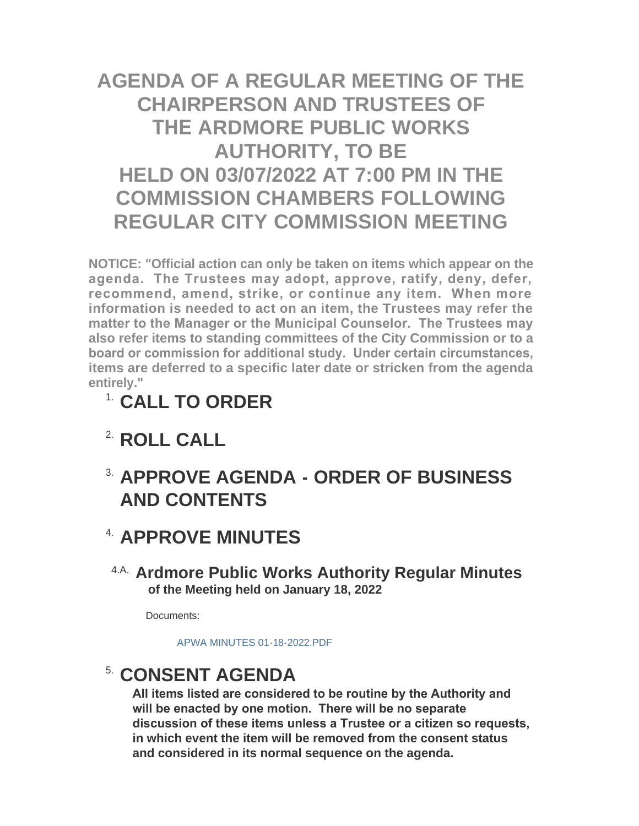# **AGENDA OF A REGULAR MEETING OF THE CHAIRPERSON AND TRUSTEES OF THE ARDMORE PUBLIC WORKS AUTHORITY, TO BE HELD ON 03/07/2022 AT 7:00 PM IN THE COMMISSION CHAMBERS FOLLOWING REGULAR CITY COMMISSION MEETING**

**NOTICE: "Official action can only be taken on items which appear on the agenda. The Trustees may adopt, approve, ratify, deny, defer, recommend, amend, strike, or continue any item. When more information is needed to act on an item, the Trustees may refer the matter to the Manager or the Municipal Counselor. The Trustees may also refer items to standing committees of the City Commission or to a board or commission for additional study. Under certain circumstances, items are deferred to a specific later date or stricken from the agenda entirely."**

- **CALL TO ORDER** 1.
- <sup>2</sup> ROLL CALL
- **APPROVE AGENDA ORDER OF BUSINESS**  3. **AND CONTENTS**

## <sup>4</sup> APPROVE MINUTES

**Ardmore Public Works Authority Regular Minutes** 4.A. **of the Meeting held on January 18, 2022**

Documents:

[APWA MINUTES 01-18-2022.PDF](http://www.ardmorecity.org/AgendaCenter/ViewFile/Item/8145?fileID=4931)

## **CONSENT AGENDA**

**All items listed are considered to be routine by the Authority and will be enacted by one motion. There will be no separate discussion of these items unless a Trustee or a citizen so requests, in which event the item will be removed from the consent status and considered in its normal sequence on the agenda.**